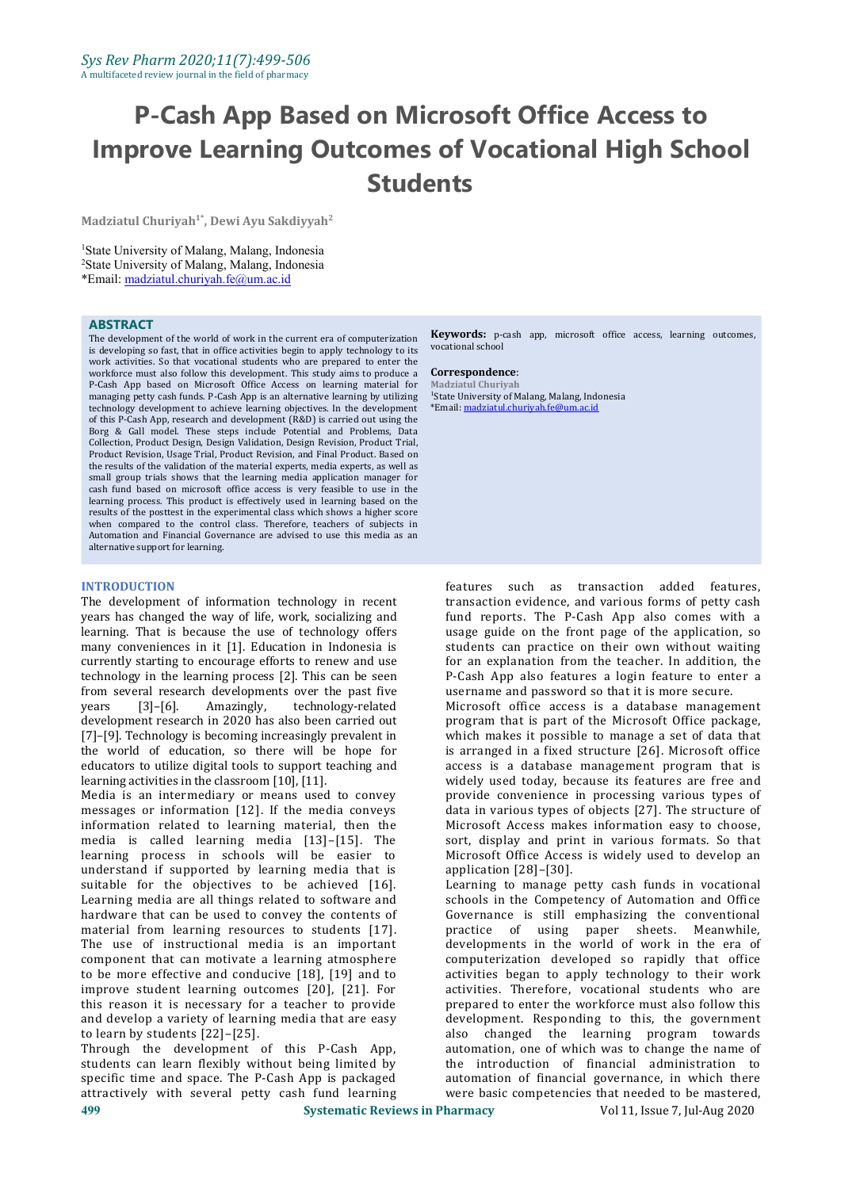**Madziatul Churiyah 1\* , Dewi Ayu Sakdiyyah 2**

<sup>1</sup>State University of Malang, Malang, Indonesia <sup>2</sup>State University of Malang, Malang, Indonesia \*Email: [madziatul.churiyah.fe@um.ac.id](mailto:madziatul.churiyah.fe@um.ac.id)

#### **ABSTRACT**

The development of the world of work in the current era of computerization is developing so fast, that in office activities begin to apply technology to its work activities. So that vocational students who are prepared to enter the workforce must also follow this development. This study aims to produce a **Correspondence**: workforce must also follow this development. This study aims to produce a P-Cash App based on Microsoft Office Access on learning material for managing petty cash funds. P-Cash App is an alternative learning by utilizing technology development to achieve learning objectives. In the development of this P-Cash App, research and development (R&D) is carried out using the Borg & Gall model. These steps include Potential and Problems, Data Collection, Product Design, Design Validation, Design Revision, Product Trial, Product Revision, Usage Trial, Product Revision, and Final Product. Based on the results of the validation of the material experts, media experts, as well as small group trials shows that the learning media application manager for cash fund based on microsoft office access is very feasible to use in the learning process. This product is effectively used in learning based on the results of the posttest in the experimental class which shows a higher score when compared to the control class. Therefore, teachers of subjects in Automation and Financial Governance are advised to use this media as an alternative support for learning.

#### **INTRODUCTION**

The development of information technology in recent transaction evidence, and various forms of petty cash<br>years has changed the way of life, work, socializing and fund reports. The P-Cash App also comes with a years has changed the way of life, work, socializing and learning. That is because the use of technology offers many conveniences in it [1]. Education in Indonesia is currently starting to encourage efforts to renew and use technology in the learning process [2]. This can be seen from several research developments over the past five<br>years [3]-[6]. Amazingly, technology-related technology-related development research in 2020 has also been carried out [7]–[9]. Technology is becoming increasingly prevalent in the world of education, so there will be hope for educators to utilize digital tools to support teaching and learning activities in the classroom [10], [11].

Media is an intermediary or means used to convey messages or information [12]. If the media conveys information related to learning material, then the media is called learning media [13]–[15]. The learning process in schools will be easier to understand if supported by learning media that is suitable for the objectives to be achieved [16]. Learning media are all things related to software and hardware that can be used to convey the contents of material from learning resources to students [17]. practice of using paper sheets. Meanwhile,<br>The use of instructional media is an important developments in the world of work in the era of The use of instructional media is an important component that can motivate a learning atmosphere to be more effective and conducive [18], [19] and to improve student learning outcomes [20], [21]. For this reason it is necessary for a teacher to provide and develop a variety of learning media that are easy to learn by students [22]–[25].

**499 Systematic Reviews in Pharmacy** Vol 11, Issue 7, Jul-Aug 2020 Through the development of this P-Cash App, students can learn flexibly without being limited by specific time and space. The P-Cash App is packaged attractively with several petty cash fund learning

**Keywords:** p-cash app, microsoft office access, learning outcomes, vocational school

**Correspondence**: **Madziatul Churiyah** <sup>1</sup>State University of Malang, Malang, Indonesia \*Email: [madziatul.churiyah.fe@um.ac.id](mailto:madziatul.churiyah.fe@um.ac.id)

features such as transaction added features, transaction evidence, and various forms of petty cash usage guide on the front page of the application, so students can practice on their own without waiting for an explanation from the teacher. In addition, the P-Cash App also features a login feature to enter a username and password so that it is more secure.

Microsoft office access is a database management program that is part of the Microsoft Office package, which makes it possible to manage a set of data that is arranged in a fixed structure [26]. Microsoft office access is a database management program that is widely used today, because its features are free and provide convenience in processing various types of data in various types of objects [27]. The structure of Microsoft Access makes information easy to choose, sort, display and print in various formats. So that Microsoft Office Access is widely used to develop an application [28]–[30].

Learning to manage petty cash funds in vocational schools in the Competency of Automation and Office Governance is still emphasizing the conventional<br>practice of using paper sheets. Meanwhile. practice of using paper sheets. computerization developed so rapidly that office activities began to apply technology to their work activities. Therefore, vocational students who are prepared to enter the workforce must also follow this development. Responding to this, the government also changed the learning program towards automation, one of which was to change the name of the introduction of financial administration to automation of financial governance, in which there were basic competencies that needed to be mastered,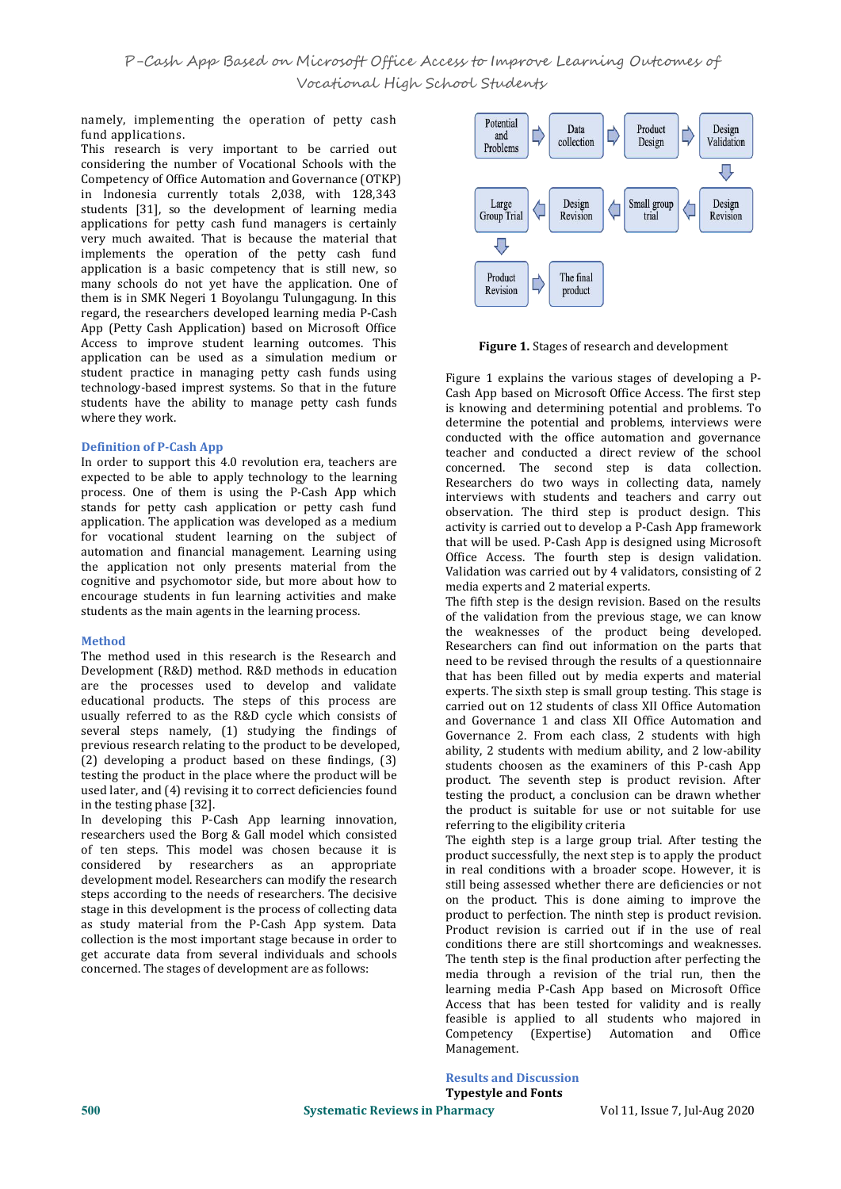namely, implementing the operation of petty cash  $\bigcap_{\text{potential}}$  Potential fund applications.

This research is very important to be carried out considering the number of Vocational Schools with the Competency of Office Automation and Governance (OTKP) in Indonesia currently totals  $2,038$ , with  $128,343$ students [31], so the development of learning media and large droup Trial applications for petty cash fund managers is certainly very much awaited. That is because the material that very much awaited. That is because the material that  $\Box$ <br>implements the operation of the petty cash fund application is a basic competency that is still new, so  $\sqrt{\frac{P_{\text{reduced}}}{P_{\text{reduced}}}}$ many schools do not yet have the application. One of them is in SMK Negeri 1 Boyolangu Tulungagung. In this regard, the researchers developed learning media P-Cash App (Petty Cash Application) based on Microsoft Office Access to improve student learning outcomes. This application can be used as a simulation medium or student practice in managing petty cash funds using technology-based imprest systems. So that in the future students have the ability to manage petty cash funds where they work.

#### **Definition of P-Cash App**

In order to support this 4.0 revolution era, teachers are expected to be able to apply technology to the learning process. One of them is using the P-Cash App which stands for petty cash application or petty cash fund application. The application was developed as a medium for vocational student learning on the subject of automation and financial management. Learning using the application not only presents material from the cognitive and psychomotor side, but more about how to encourage students in fun learning activities and make students as the main agents in the learning process.

#### **Method**

The method used in this research is the Research and Development (R&D) method. R&D methods in education are the processes used to develop and validate educational products. The steps of this process are usually referred to as the R&D cycle which consists of several steps namely, (1) studying the findings of previous research relating to the product to be developed,  $(2)$  developing a product based on these findings,  $(3)$ testing the product in the place where the product will be used later, and (4) revising it to correct deficiencies found in the testing phase [32].

In developing this P-Cash App learning innovation, researchers used the Borg & Gall model which consisted of ten steps. This model was chosen because it is considered by researchers as an appropriate development model. Researchers can modify the research steps according to the needs of researchers. The decisive stage in this development is the process of collecting data as study material from the P-Cash App system. Data collection is the most important stage because in order to get accurate data from several individuals and schools concerned. The stages of development are as follows:



**Figure 1.** Stages of research and development

Figure 1 explains the various stages of developing a P- Cash App based on Microsoft Office Access. The first step is knowing and determining potential and problems. To determine the potential and problems, interviews were conducted with the office automation and governance teacher and conducted a direct review of the school concerned. The second step is data collection. Researchers do two ways in collecting data, namely interviews with students and teachers and carry out observation. The third step is product design. This activity is carried out to develop a P-Cash App framework that will be used. P-Cash App is designed using Microsoft Office Access. The fourth step is design validation. Validation was carried out by 4 validators, consisting of 2 media experts and 2 material experts.

The fifth step is the design revision. Based on the results of the validation from the previous stage, we can know the weaknesses of the product being developed. Researchers can find out information on the parts that need to be revised through the results of a questionnaire that has been filled out by media experts and material experts. The sixth step is small group testing. This stage is carried out on 12 students of class XII Office Automation and Governance 1 and class XII Office Automation and Governance 2. From each class, 2 students with high ability, 2 students with medium ability, and 2 low-ability students choosen as the examiners of this P-cash App product. The seventh step is product revision. After testing the product, a conclusion can be drawn whether the product is suitable for use or not suitable for use referring to the eligibility criteria

considered by researchers as an appropriate in real conditions with a broader scope. However, it is<br>development model Bessenshers can modify the research The eighth step is a large group trial. After testing the product successfully, the next step is to apply the product still being assessed whether there are deficiencies or not on the product. This is done aiming to improve the product to perfection. The ninth step is product revision. Product revision is carried out if in the use of real conditions there are still shortcomings and weaknesses. The tenth step is the final production after perfecting the media through a revision of the trial run, then the learning media P-Cash App based on Microsoft Office Access that has been tested for validity and is really feasible is applied to all students who majored in (Expertise) Automation and Management.

> **Results and Discussion Typestyle and Fonts**

**500 Systematic Reviews in Pharmacy** Vol 11, Issue 7, Jul-Aug 2020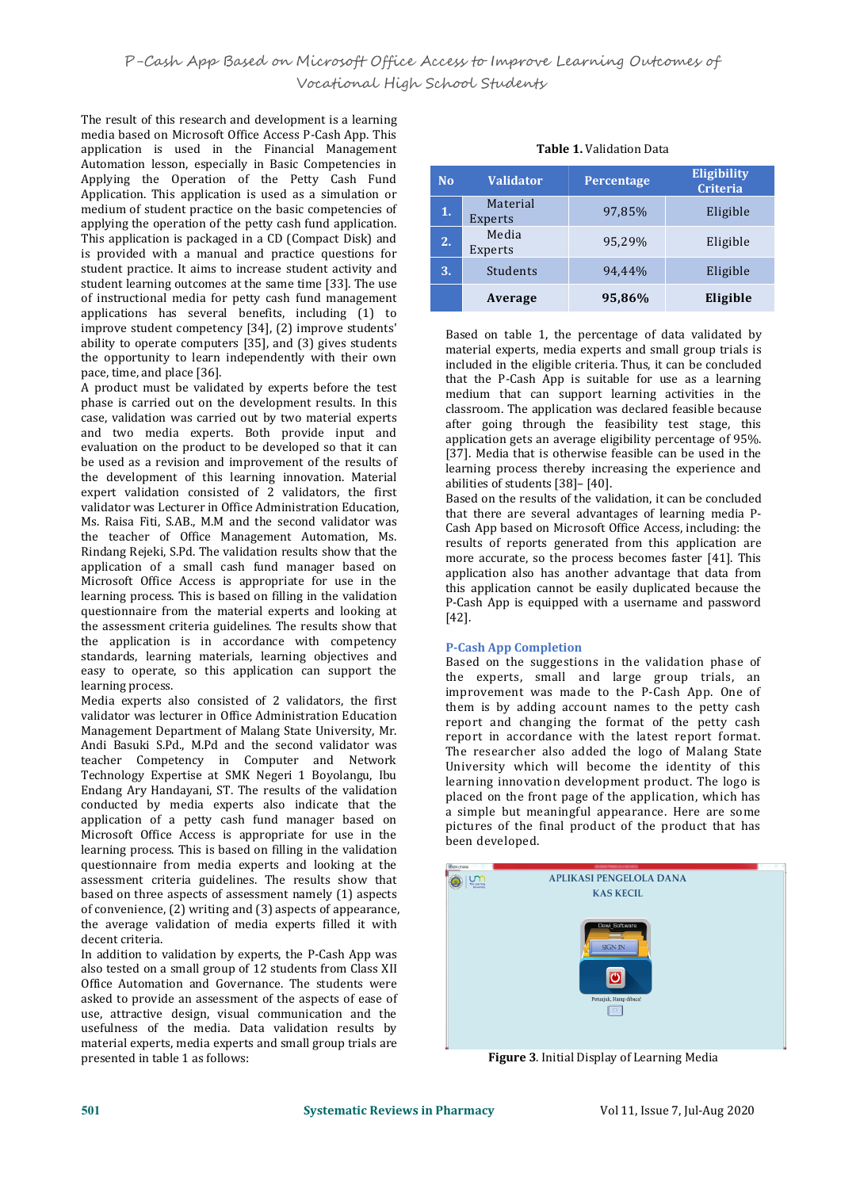The result of this research and development is a learning media based on Microsoft Office Access P-Cash App. This application is used in the Financial Management Automation lesson, especially in Basic Competencies in Applying the Operation of the Petty Cash Fund Application. This application is used as a simulation or medium of student practice on the basic competencies of applying the operation of the petty cash fund application. This application is packaged in a CD (Compact Disk) and is provided with a manual and practice questions for student practice. It aims to increase student activity and student learning outcomes at the same time [33]. The use of instructional media for petty cash fund management applications has several benefits, including (1) to improve student competency [34], (2) improve students' ability to operate computers [35], and (3) gives students the opportunity to learn independently with their own pace, time, and place [36].

A product must be validated by experts before the test phase is carried out on the development results. In this case, validation was carried out by two material experts and two media experts. Both provide input and evaluation on the product to be developed so that it can be used as a revision and improvement of the results of the development of this learning innovation. Material expert validation consisted of  $\overline{2}$  validators, the first validator was Lecturer in Office Administration Education, Ms. Raisa Fiti, S.AB., M.M and the second validator was the teacher of Office Management Automation, Ms. Rindang Rejeki, S.Pd.The validation results show that the application of a small cash fund manager based on Microsoft Office Access is appropriate for use in the learning process. This is based on filling in the validation questionnaire from the material experts and looking at the assessment criteria guidelines. The results show that the application is in accordance with competency standards, learning materials, learning objectives and easy to operate, so this application can support the learning process.

Media experts also consisted of 2 validators, the first validator was lecturer in Office Administration Education Management Department of Malang State University, Mr. Andi Basuki S.Pd., M.Pd and the second validator was teacher Competency in Computer and Network Technology Expertise at SMK Negeri 1 Boyolangu, Ibu Endang Ary Handayani, ST. The results of the validation conducted by media experts also indicate that the application of a petty cash fund manager based on Microsoft Office Access is appropriate for use in the learning process. This is based on filling in the validation questionnaire from media experts and looking at the assessment criteria guidelines. The results show that assessment criteria guidelines. The results show that **COMPANY ARELIKASI PENGELOLA DANA** based on three aspects of assessment namely (1) aspects of convenience, (2) writing and (3) aspects of appearance, the average validation of media experts filled it with decent criteria.

In addition to validation by experts, the P-Cash App was also tested on a small group of 12 students from Class XII Office Automation and Governance. The students were asked to provide an assessment of the aspects of ease of use, attractive design, visual communication and the usefulness of the media. Data validation results by material experts, media experts and small group trials are presented in table 1 as follows:

| <b>Table 1.</b> Validation Data |
|---------------------------------|
|---------------------------------|

| N <sub>o</sub> | <b>Validator</b>    | Percentage | <b>Eligibility</b><br><b>Criteria</b> |  |  |
|----------------|---------------------|------------|---------------------------------------|--|--|
| 1.             | Material<br>Experts | 97,85%     | Eligible                              |  |  |
| 2.             | Media<br>Experts    | 95,29%     | Eligible                              |  |  |
| 3.             | Students            | 94,44%     | Eligible                              |  |  |
|                | Average             | 95,86%     | Eligible                              |  |  |

Based on table 1, the percentage of data validated by material experts, media experts and small group trials is included in the eligible criteria. Thus, it can be concluded that the P-Cash App is suitable for use as a learning medium that can support learning activities in the classroom. The application was declared feasible because after going through the feasibility test stage, this application gets an average eligibility percentage of 95%. [37]. Media that is otherwise feasible can be used in the learning process thereby increasing the experience and abilities of students [38]– [40].

Based on the results of the validation, it can be concluded that there are several advantages of learning media P- Cash App based on Microsoft Office Access, including: the results of reports generated from this application are more accurate, so the process becomes faster [41]. This application also has another advantage that data from this application cannot be easily duplicated because the P-Cash App is equipped with a username and password [42].

#### **P-Cash App Completion**

Based on the suggestions in the validation phase of the experts, small and large group trials, an improvement was made to the P-Cash App. One of them is by adding account names to the petty cash report and changing the format of the petty cash report in accordance with the latest report format. The researcher also added the logo of Malang State University which will become the identity of this learning innovation development product. The logo is placed on the front page of the application, which has a simple but meaningful appearance. Here are some pictures of the final product of the product that has been developed.



**Figure 3**. Initial Display of Learning Media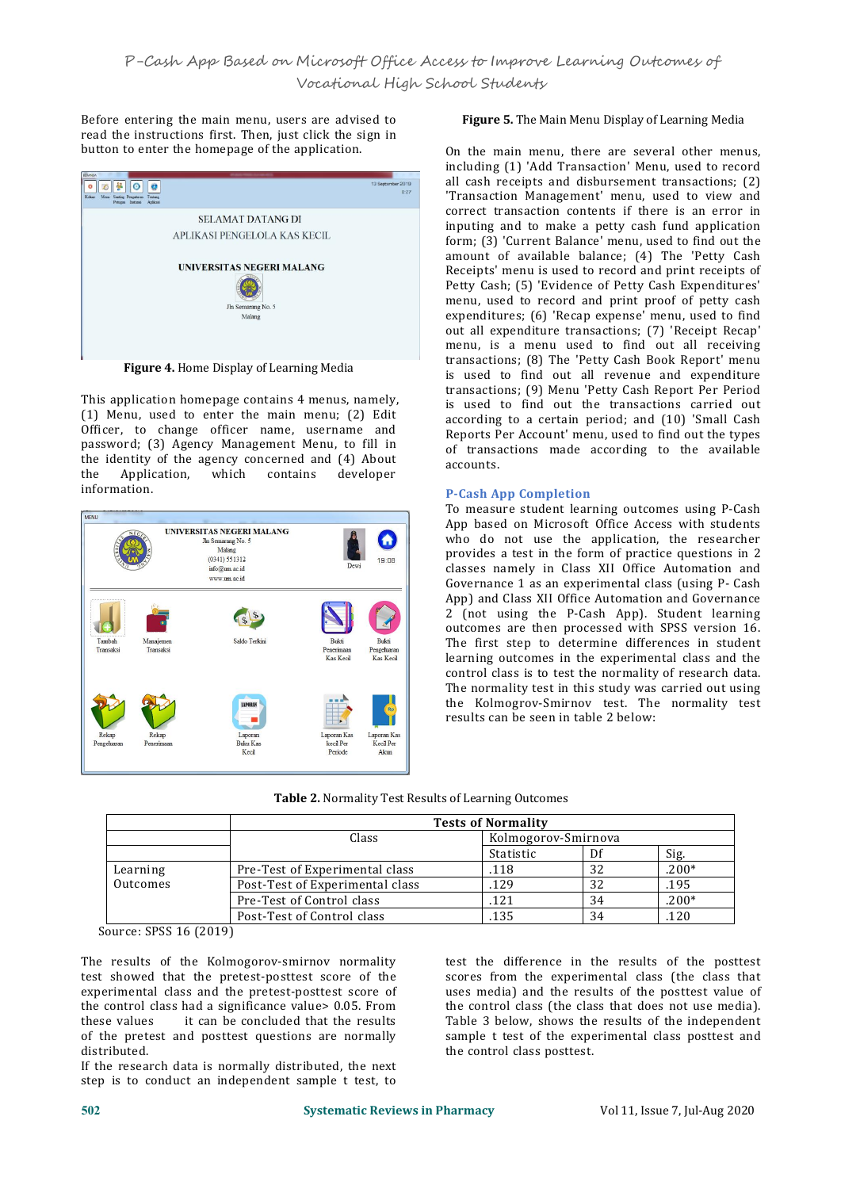Before entering the main menu, users are advised to read the instructions first. Then, just click the sign in button to enter the homepage of the application.



**Figure 4.** Home Display of Learning Media

This application homepage contains 4 menus, namely,  $(1)$  Menu, used to enter the main menu;  $(2)$  Edit Officer, to change officer name, username and password; (3) Agency Management Menu, to fill in the identity of the agency concerned and (4) About<br>the Application, which contains developer Application, information.



## **Figure 5.** The Main Menu Display of Learning Media

On the main menu, there are several other menus, including (1) 'Add Transaction' Menu, used to record all cash receipts and disbursement transactions; (2) 'Transaction Management' menu, used to view and correct transaction contents if there is an error in inputing and to make a petty cash fund application form; (3) 'Current Balance' menu, used to find out the amount of available balance; (4) The 'Petty Cash Receipts' menu is used to record and print receipts of Petty Cash; (5) 'Evidence of Petty Cash Expenditures' menu, used to record and print proof of petty cash expenditures; (6) 'Recap expense' menu, used to find out all expenditure transactions; (7) 'Receipt Recap' menu, is a menu used to find out all receiving transactions; (8) The 'Petty Cash Book Report' menu is used to find out all revenue and expenditure transactions; (9) Menu 'Petty Cash Report Per Period is used to find out the transactions carried out according to a certain period; and (10) 'Small Cash Reports Per Account' menu, used to find out the types of transactions made according to the available accounts.

## **P-Cash App Completion**

To measure student learning outcomes using P-Cash App based on Microsoft Office Access with students who do not use the application, the researcher provides a test in the form of practice questions in 2 classes namely in Class XII Office Automation and Governance 1 as an experimental class (using P- Cash App) and Class XII Office Automation and Governance 2 (not using the P-Cash App). Student learning outcomes are then processed with SPSS version 16. The first step to determine differences in student learning outcomes in the experimental class and the control class is to test the normality of research data. The normality test in this study was carried out using the Kolmogrov-Smirnov test. The normality test results can be seen in table 2 below:

| <b>Table 2. Normality Test Results of Learning Outcomes</b> |  |
|-------------------------------------------------------------|--|
|-------------------------------------------------------------|--|

|          |                                 | <b>Tests of Normality</b> |    |         |
|----------|---------------------------------|---------------------------|----|---------|
|          | Class                           | Kolmogorov-Smirnova       |    |         |
|          |                                 | Statistic                 | Df | Sig.    |
| Learning | Pre-Test of Experimental class  | .118                      | 32 | $.200*$ |
| Outcomes | Post-Test of Experimental class | .129                      | 32 | .195    |
|          | Pre-Test of Control class       | 121                       | 34 | $.200*$ |
|          | Post-Test of Control class      | .135                      | 34 | .120    |

Source: SPSS 16 (2019)

The results of the Kolmogorov-smirnov normality test showed that the pretest-posttest score of the experimental class and the pretest-posttest score of the control class had a significance value> 0.05. From<br>these values it can be concluded that the results it can be concluded that the results of the pretest and posttest questions are normally distributed.

If the research data is normally distributed, the next step is to conduct an independent sample t test, to test the difference in the results of the posttest scores from the experimental class (the class that uses media) and the results of the posttest value of the control class (the class that does not use media). Table 3 below, shows the results of the independent sample t test of the experimental class posttest and the control class posttest.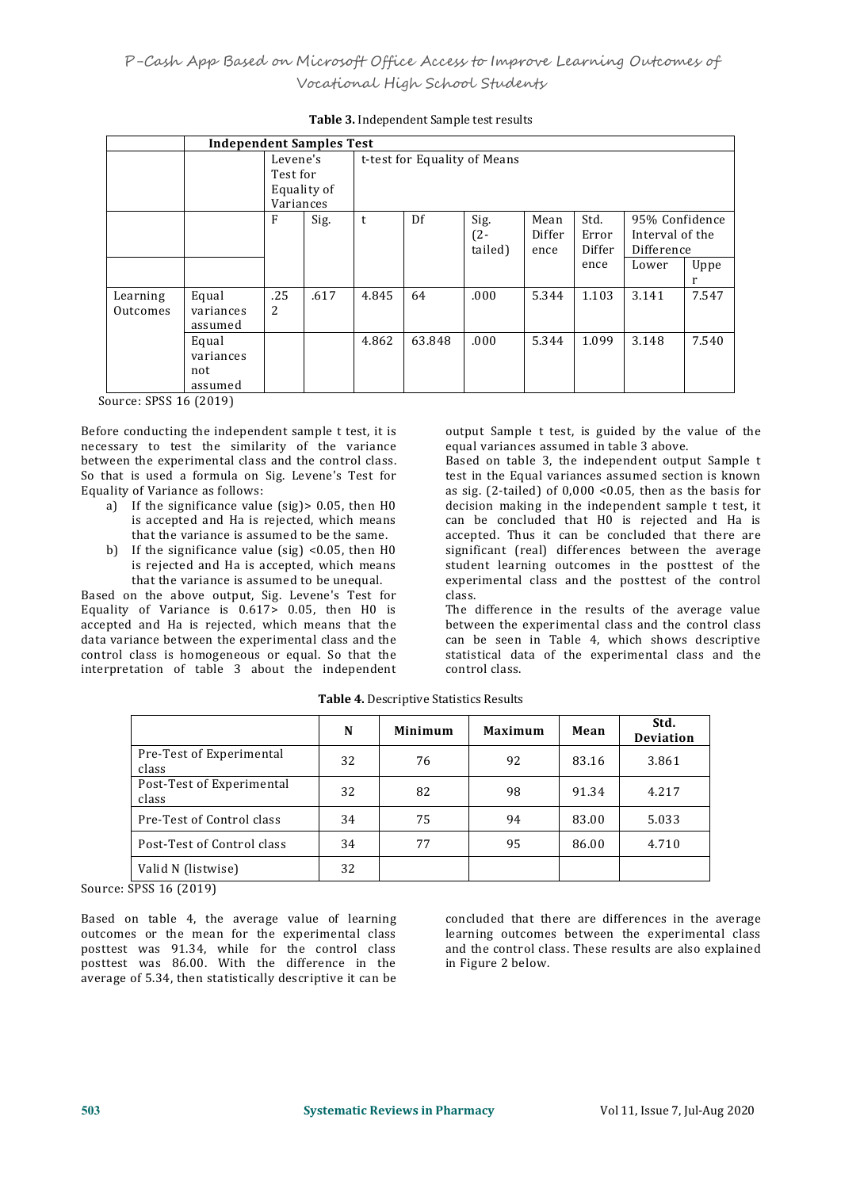|                                                                                                                                                                                                                                                                                                                     | <b>Independent Samples Test</b>      |                                   |             |                              |        |                           |                        |                                 |                                                          |       |
|---------------------------------------------------------------------------------------------------------------------------------------------------------------------------------------------------------------------------------------------------------------------------------------------------------------------|--------------------------------------|-----------------------------------|-------------|------------------------------|--------|---------------------------|------------------------|---------------------------------|----------------------------------------------------------|-------|
|                                                                                                                                                                                                                                                                                                                     |                                      | Levene's<br>Test for<br>Variances | Equality of | t-test for Equality of Means |        |                           |                        |                                 |                                                          |       |
|                                                                                                                                                                                                                                                                                                                     |                                      | F                                 | Sig.        | t                            | Df     | Sig.<br>$(2 -$<br>tailed) | Mean<br>Differ<br>ence | Std.<br>Error<br>Differ<br>ence | 95% Confidence<br>Interval of the<br>Difference<br>Lower | Uppe  |
| Learning<br>Outcomes                                                                                                                                                                                                                                                                                                | Equal<br>variances<br>assumed        | .25<br>2                          | .617        | 4.845                        | 64     | .000                      | 5.344                  | 1.103                           | 3.141                                                    | 7.547 |
|                                                                                                                                                                                                                                                                                                                     | Equal<br>variances<br>not<br>assumed |                                   |             | 4.862                        | 63.848 | .000                      | 5.344                  | 1.099                           | 3.148                                                    | 7.540 |
| $\frac{1}{2}$ $\frac{1}{2}$ $\frac{1}{2}$ $\frac{1}{2}$ $\frac{1}{2}$ $\frac{1}{2}$ $\frac{1}{2}$ $\frac{1}{2}$ $\frac{1}{2}$ $\frac{1}{2}$ $\frac{1}{2}$ $\frac{1}{2}$ $\frac{1}{2}$ $\frac{1}{2}$ $\frac{1}{2}$ $\frac{1}{2}$ $\frac{1}{2}$ $\frac{1}{2}$ $\frac{1}{2}$ $\frac{1}{2}$ $\frac{1}{2}$ $\frac{1}{2}$ |                                      |                                   |             |                              |        |                           |                        |                                 |                                                          |       |

# **Table 3.** Independent Sample test results

Source: SPSS 16 (2019)

Before conducting the independent sample t test, it is necessary to test the similarity of the variance between the experimental class and the control class. So that is used a formula on Sig. Levene's Test for Equality of Variance as follows:

- a) If the significance value (sig)> 0.05, then H0 is accepted and Ha is rejected, which means that the variance is assumed to be the same.
- b) If the significance value (sig)  $\leq 0.05$ , then H0 is rejected and Ha is accepted, which means that the variance is assumed to be unequal.

Based on the above output, Sig. Levene's Test for Equality of Variance is  $0.617>0.05$ , then H0 is accepted and Ha is rejected, which means that the data variance between the experimental class and the control class is homogeneous or equal. So that the interpretation of table 3 about the independent

output Sample t test, is guided by the value of the equal variances assumed in table 3 above.

Based on table 3, the independent output Sample t test in the Equal variances assumed section is known as sig. (2-tailed) of 0,000 <0.05, then as the basis for decision making in the independent sample t test, it can be concluded that H0 is rejected and Ha is accepted. Thus it can be concluded that there are significant (real) differences between the average student learning outcomes in the posttest of the experimental class and the posttest of the control class.

The difference in the results of the average value between the experimental class and the control class can be seen in Table 4, which shows descriptive statistical data of the experimental class and the control class.

|                                    | N  | Minimum | Maximum | Mean  | Std.<br><b>Deviation</b> |
|------------------------------------|----|---------|---------|-------|--------------------------|
| Pre-Test of Experimental<br>class  | 32 | 76      | 92      | 83.16 | 3.861                    |
| Post-Test of Experimental<br>class | 32 | 82      | 98      | 91.34 | 4.217                    |
| Pre-Test of Control class          | 34 | 75      | 94      | 83.00 | 5.033                    |
| Post-Test of Control class         | 34 | 77      | 95      | 86.00 | 4.710                    |
| Valid N (listwise)                 | 32 |         |         |       |                          |

**Table 4.** Descriptive Statistics Results

Source: SPSS 16 (2019)

Based on table 4, the average value of learning outcomes or the mean for the experimental class posttest was 91.34, while for the control class posttest was 86.00. With the difference in the average of 5.34, then statistically descriptive it can be

concluded that there are differences in the average learning outcomes between the experimental class and the control class. These results are also explained in Figure 2 below.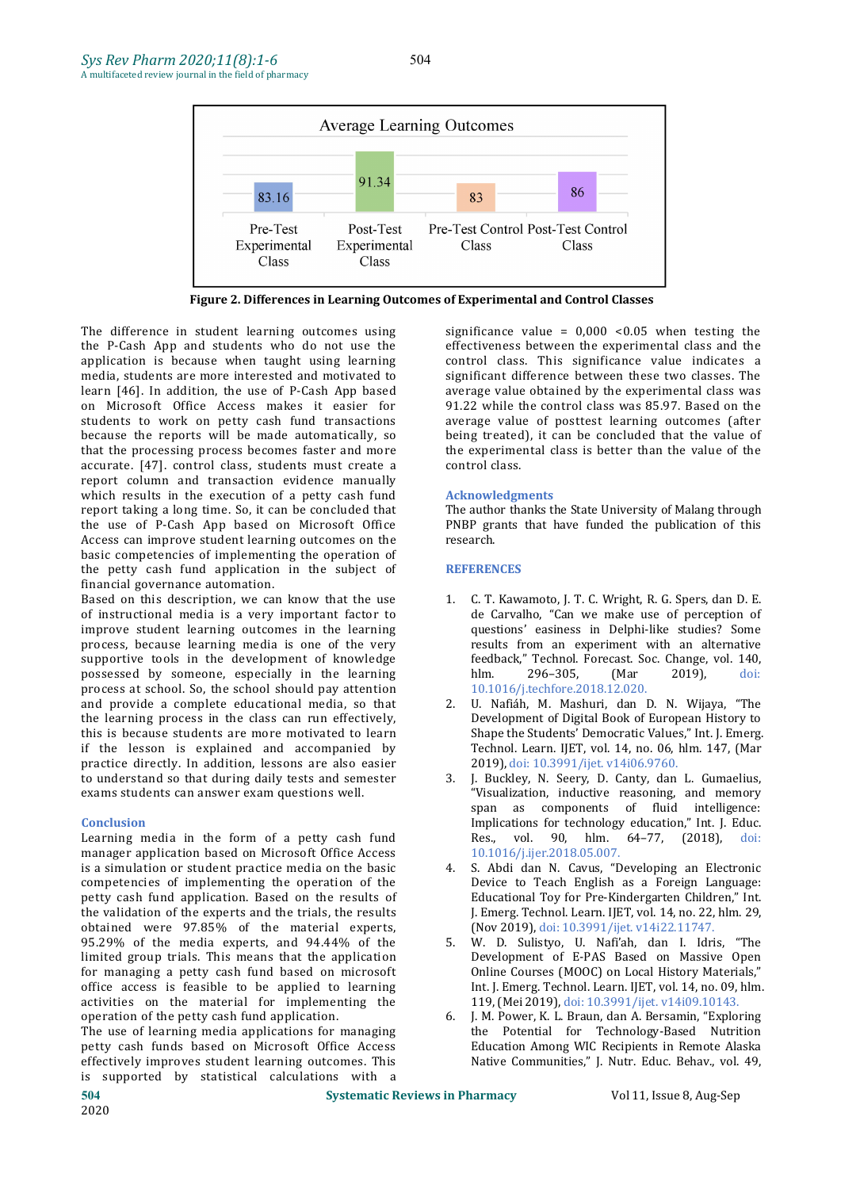

**Figure 2. Differences in Learning Outcomes of Experimental and Control Classes**

The difference in student learning outcomes using the P-Cash App and students who do not use the application is because when taught using learning media, students are more interested and motivated to learn [46]. In addition, the use of P-Cash App based on Microsoft Office Access makes it easier for students to work on petty cash fund transactions because the reports will be made automatically, so that the processing process becomes faster and more accurate. [47]. control class, students must create a report column and transaction evidence manually which results in the execution of a petty cash fund report taking a long time. So, it can be concluded that the use of P-Cash App based on Microsoft Office Access can improve student learning outcomes on the basic competencies of implementing the operation of the petty cash fund application in the subject of financial governance automation.

Based on this description, we can know that the use of instructional media is a very important factor to improve student learning outcomes in the learning process, because learning media is one of the very supportive tools in the development of knowledge feed<br>possessed by someone, especially in the learning hlm. possessed by someone, especially in the learning process at school. So, the school should pay attention and provide a complete educational media, so that the learning process in the class can run effectively, this is because students are more motivated to learn if the lesson is explained and accompanied by practice directly. In addition, lessons are also easier<br>to understand so that during daily tests and semester 3. to understand so that during daily tests and semester exams students can answer exam questions well.

#### **Conclusion**

Learning media in the form of a petty cash fund manager application based on Microsoft Office Access is a simulation or student practice media on the basic competencies of implementing the operation of the petty cash fund application. Based on the results of the validation of the experts and the trials, the results obtained were 97.85% of the material experts,<br>95.29% of the media experts, and 94.44% of the 5. 95.29% of the media experts, and 94.44% of the limited group trials. This means that the application for managing a petty cash fund based on microsoft office access is feasible to be applied to learning activities on the material for implementing the<br>operation of the petty cash fund application operation of the petty cash fund application.

The use of learning media applications for managing petty cash funds based on Microsoft Office Access effectively improves student learning outcomes. This is supported by statistical calculations with a

significance value =  $0,000$  <  $0.05$  when testing the effectiveness between the experimental class and the control class. This significance value indicates a significant difference between these two classes. The average value obtained by the experimental class was 91.22 while the control class was 85.97. Based on the average value of posttest learning outcomes (after being treated), it can be concluded that the value of the experimental class is better than the value of the control class.

# **Acknowledgments**

The author thanks the State University of Malang through PNBP grants that have funded the publication of this research.

# **REFERENCES**

- 1. C. T. Kawamoto, J. T. C. Wright, R. G. Spers, dan D. E. de Carvalho, "Can we make use of perception of questions' easiness in Delphi-like studies? Some results from an experiment with an alternative feedback," Technol. Forecast. Soc. Change, vol. 140, hlm. 296–305, (Mar 2019), doi: 10.1016/j.techfore.2018.12.020.
- 2. U. Nafiáh, M. Mashuri, dan D. N. Wijaya, "The Development of Digital Book of European History to Shape the Students' Democratic Values," Int. J. Emerg. Technol. Learn. IJET, vol. 14, no. 06, hlm. 147, (Mar 2019), doi: 10.3991/ijet. v14i06.9760.
- 3. J. Buckley, N. Seery, D. Canty, dan L. Gumaelius, "Visualization, inductive reasoning, and memory span as components of fluid intelligence: Implications for technology education," Int. J. Educ. Res., vol. 90, hlm. 64–77, (2018), doi: 10.1016/j.ijer.2018.05.007.
- 4. S. Abdi dan N. Cavus, "Developing an Electronic Device to Teach English as a Foreign Language: Educational Toy for Pre-Kindergarten Children," Int. J. Emerg. Technol. Learn. IJET, vol. 14, no. 22, hlm. 29, (Nov 2019), doi: 10.3991/ijet. v14i22.11747.
- 5. W. D. Sulistyo, U. Nafi'ah, dan I. Idris, "The Development of E-PAS Based on Massive Open Online Courses (MOOC) on Local History Materials," Int. J. Emerg. Technol. Learn. IJET, vol. 14, no. 09, hlm. 119, (Mei 2019), doi: 10.3991/ijet. v14i09.10143.
- 6. J. M. Power, K. L. Braun, dan A. Bersamin, "Exploring the Potential for Technology-Based Nutrition Education Among WIC Recipients in Remote Alaska Native Communities," J. Nutr. Educ. Behav., vol. 49,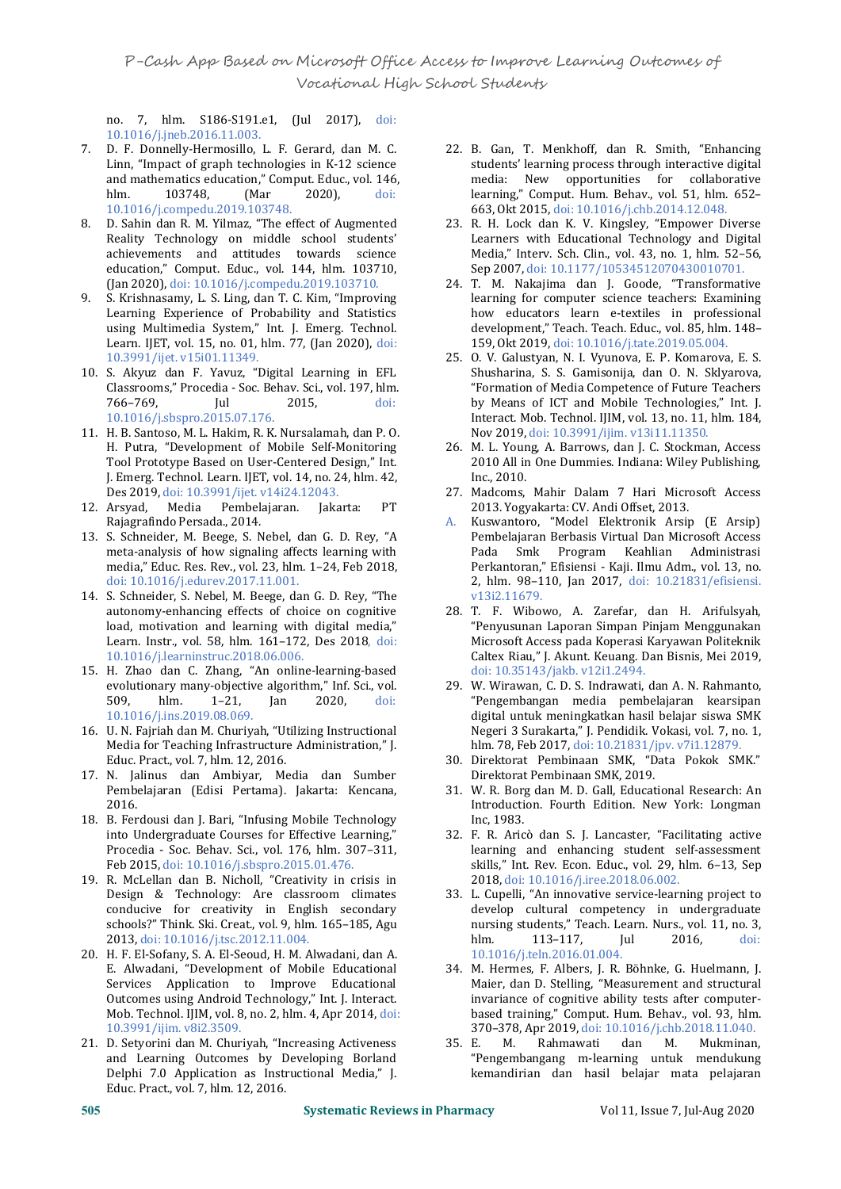no. 7, hlm. S186-S191.e1, (Jul 2017), doi: 10.1016/j.jneb.2016.11.003.

- 7. D. F. Donnelly-Hermosillo, L. F. Gerard, dan M. C. Linn, "Impact of graph technologies in K-12 science and mathematics education," Comput. Educ., vol. 146,<br>hlm. 103748, (Mar 2020), doi: hlm. 103748, (Mar 2020), doi: 10.1016/j.compedu.2019.103748.
- 8. D. Sahin dan R. M. Yilmaz, "The effect of Augmented Reality Technology on middle school students' achievements and attitudes towards science education," Comput. Educ., vol. 144, hlm. 103710, (Jan 2020), doi: 10.1016/j.compedu.2019.103710.
- 9. S. Krishnasamy, L. S. Ling, dan T. C. Kim, "Improving Learning Experience of Probability and Statistics using Multimedia System," Int. J. Emerg. Technol. Learn. IJET, vol. 15, no. 01, hlm. 77, (Jan 2020), doi: 10.3991/ijet. v15i01.11349.
- 10. S. Akyuz dan F. Yavuz, "Digital Learning in EFL Classrooms," Procedia - Soc. Behav. Sci., vol. 197, hlm. 766–769, Jul 2015, doi: 10.1016/j.sbspro.2015.07.176.
- 11. H. B. Santoso, M. L. Hakim, R. K. Nursalamah, dan P. O. H. Putra, "Development of Mobile Self-Monitoring Tool Prototype Based on User-Centered Design," Int. J. Emerg. Technol. Learn. IJET, vol. 14, no. 24, hlm. 42, Des 2019, doi: 10.3991/ijet. v14i24.12043.<br>12. Arsyad, Media Pembelajaran. Jakarta: PT
- Pembelajaran. Rajagrafindo Persada., 2014.
- 13. S. Schneider, M. Beege, S. Nebel, dan G. D. Rey, "A Pemb meta-analysis of how signaling affects learning with Pada meta-analysis of how signaling affects learning with media," Educ. Res. Rev., vol. 23, hlm. 1–24, Feb 2018, doi: 10.1016/j.edurev.2017.11.001.
- 14. S. Schneider, S. Nebel, M. Beege, dan G. D. Rey, "The autonomy-enhancing effects of choice on cognitive load, motivation and learning with digital media," Learn. Instr., vol. 58, hlm. 161–172, Des 2018, doi: 10.1016/j.learninstruc.2018.06.006.
- 15. H. Zhao dan C. Zhang, "An online-learning-based evolutionary many-objective algorithm," Inf. Sci., vol.<br>509. hlm. 1–21. Jan 2020. doi: 509, hlm. 1–21, Jan 2020, doi: 10.1016/j.ins.2019.08.069.
- 16. U. N. Fajriah dan M. Churiyah, "Utilizing Instructional Media for Teaching Infrastructure Administration," J. Educ. Pract., vol. 7, hlm. 12, 2016.
- 17. N. Jalinus dan Ambiyar, Media dan Sumber Pembelajaran (Edisi Pertama). Jakarta: Kencana, 2016.
- 18. B. Ferdousi dan J. Bari, "Infusing Mobile Technology into Undergraduate Courses for Effective Learning," Procedia - Soc. Behav. Sci., vol. 176, hlm. 307–311, Feb 2015, doi: 10.1016/j.sbspro.2015.01.476.
- 19. R. McLellan dan B. Nicholl, "Creativity in crisis in Design & Technology: Are classroom climates conducive for creativity in English secondary schools?" Think. Ski. Creat., vol. 9, hlm. 165–185, Agu nurs<br>2013. doi: 10.1016/i tsc 2012.11.004 hlm 2013, doi: 10.1016/j.tsc.2012.11.004.
- 20. H. F. El-Sofany, S. A. El-Seoud, H. M. Alwadani, dan A. E. Alwadani, "Development of Mobile Educational Services Application to Improve Educational Outcomes using Android Technology," Int. J. Interact. Mob. Technol. IJIM, vol. 8, no. 2, hlm. 4, Apr 2014, doi: 10.3991/ijim. v8i2.3509.
- 21. D. Setyorini dan M. Churiyah, "Increasing Activeness and Learning Outcomes by Developing Borland Delphi 7.0 Application as Instructional Media," J. Educ. Pract., vol. 7, hlm. 12, 2016.
- 22. B. Gan, T. Menkhoff, dan R. Smith, "Enhancing students' learning process through interactive digital media: New opportunities for collaborative learning," Comput. Hum. Behav., vol. 51, hlm. 652– 663, Okt 2015, doi: 10.1016/j.chb.2014.12.048.
- 23. R. H. Lock dan K. V. Kingsley, "Empower Diverse Learners with Educational Technology and Digital Media," Interv. Sch. Clin., vol. 43, no. 1, hlm. 52–56, Sep 2007, doi: 10.1177/10534512070430010701.
- 24. T. M. Nakajima dan J. Goode, "Transformative learning for computer science teachers: Examining how educators learn e-textiles in professional development," Teach. Teach. Educ., vol. 85, hlm. 148– 159, Okt 2019, doi: 10.1016/j.tate.2019.05.004.
- 25. O. V. Galustyan, N. I. Vyunova, E. P. Komarova, E. S. Shusharina, S. S. Gamisonija, dan O. N. Sklyarova, "Formation of Media Competence of Future Teachers by Means of ICT and Mobile Technologies," Int. J. Interact. Mob. Technol. IJIM, vol. 13, no. 11, hlm. 184, Nov 2019, doi: 10.3991/ijim. v13i11.11350.
- 26. M. L. Young, A. Barrows, dan J. C. Stockman, Access 2010 All in One Dummies. Indiana: Wiley Publishing, Inc., 2010.
- 27. Madcoms, Mahir Dalam 7 Hari Microsoft Access 2013. Yogyakarta: CV. Andi Offset, 2013.
- Kuswantoro, "Model Elektronik Arsip (E Arsip) Pembelajaran Berbasis Virtual Dan Microsoft Access Smk Program Keahlian Administrasi Perkantoran," Efisiensi - Kaji. Ilmu Adm., vol. 13, no. 2, hlm. 98–110, Jan 2017, doi: 10.21831/efisiensi. v13i2.11679.
- 28. T. F. Wibowo, A. Zarefar, dan H. Arifulsyah, "Penyusunan Laporan Simpan Pinjam Menggunakan Microsoft Access pada Koperasi Karyawan Politeknik Caltex Riau," J. Akunt. Keuang. Dan Bisnis, Mei 2019, doi: 10.35143/jakb. v12i1.2494.
- 29. W. Wirawan, C. D. S. Indrawati, dan A. N. Rahmanto, "Pengembangan media pembelajaran kearsipan digital untuk meningkatkan hasil belajar siswa SMK Negeri 3 Surakarta," J. Pendidik. Vokasi, vol. 7, no. 1, hlm. 78, Feb 2017, doi: 10.21831/jpv. v7i1.12879.
- 30. Direktorat Pembinaan SMK, "Data Pokok SMK." Direktorat Pembinaan SMK, 2019.
- 31. W. R. Borg dan M. D. Gall, Educational Research: An Introduction. Fourth Edition. New York: Longman Inc, 1983.
- 32. F. R. Aricò dan S. J. Lancaster, "Facilitating active learning and enhancing student self-assessment skills," Int. Rev. Econ. Educ., vol. 29, hlm. 6–13, Sep 2018, doi: 10.1016/j.iree.2018.06.002.
- 33. L. Cupelli, "An innovative service-learning project to develop cultural competency in undergraduate nursing students," Teach. Learn. Nurs., vol. 11, no. 3, hlm. 113-117. [ul 2016.] hlm. 113–117, Jul 2016, doi: 10.1016/j.teln.2016.01.004.
- 34. M. Hermes, F. Albers, J. R. Böhnke, G. Huelmann, J. Maier, dan D. Stelling, "Measurement and structural invariance of cognitive ability tests after computer based training," Comput. Hum. Behav., vol. 93, hlm. 370–378, Apr 2019, doi: 10.1016/j.chb.2018.11.040.
- Rahmawati "Pengembangang m-learning untuk mendukung kemandirian dan hasil belajar mata pelajaran